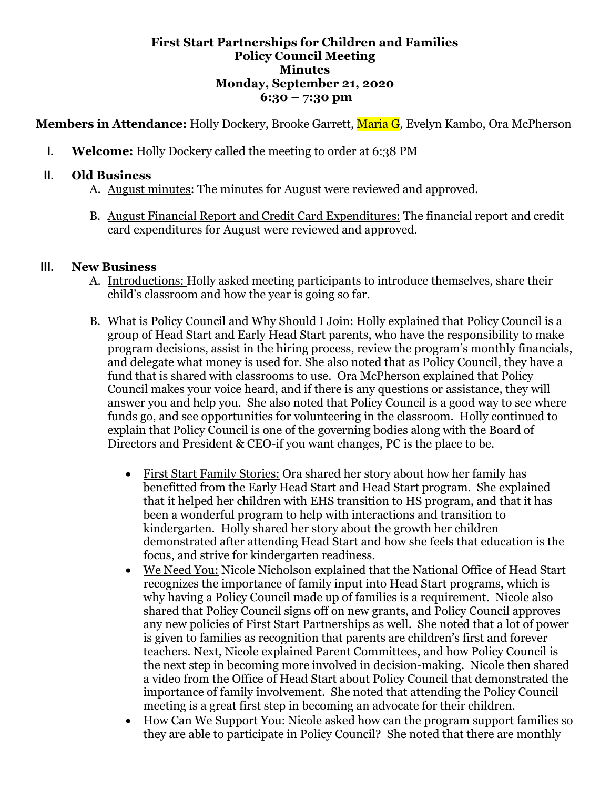#### **First Start Partnerships for Children and Families Policy Council Meeting Minutes Monday, September 21, 2020 6:30 – 7:30 pm**

**Members in Attendance:** Holly Dockery, Brooke Garrett, Maria G, Evelyn Kambo, Ora McPherson

**I. Welcome:** Holly Dockery called the meeting to order at 6:38 PM

### **II. Old Business**

- A. August minutes: The minutes for August were reviewed and approved.
- B. August Financial Report and Credit Card Expenditures: The financial report and credit card expenditures for August were reviewed and approved.

#### **III. New Business**

- A. Introductions: Holly asked meeting participants to introduce themselves, share their child's classroom and how the year is going so far.
- B. What is Policy Council and Why Should I Join: Holly explained that Policy Council is a group of Head Start and Early Head Start parents, who have the responsibility to make program decisions, assist in the hiring process, review the program's monthly financials, and delegate what money is used for. She also noted that as Policy Council, they have a fund that is shared with classrooms to use. Ora McPherson explained that Policy Council makes your voice heard, and if there is any questions or assistance, they will answer you and help you. She also noted that Policy Council is a good way to see where funds go, and see opportunities for volunteering in the classroom. Holly continued to explain that Policy Council is one of the governing bodies along with the Board of Directors and President & CEO-if you want changes, PC is the place to be.
	- First Start Family Stories: Ora shared her story about how her family has benefitted from the Early Head Start and Head Start program. She explained that it helped her children with EHS transition to HS program, and that it has been a wonderful program to help with interactions and transition to kindergarten. Holly shared her story about the growth her children demonstrated after attending Head Start and how she feels that education is the focus, and strive for kindergarten readiness.
	- We Need You: Nicole Nicholson explained that the National Office of Head Start recognizes the importance of family input into Head Start programs, which is why having a Policy Council made up of families is a requirement. Nicole also shared that Policy Council signs off on new grants, and Policy Council approves any new policies of First Start Partnerships as well. She noted that a lot of power is given to families as recognition that parents are children's first and forever teachers. Next, Nicole explained Parent Committees, and how Policy Council is the next step in becoming more involved in decision-making. Nicole then shared a video from the Office of Head Start about Policy Council that demonstrated the importance of family involvement. She noted that attending the Policy Council meeting is a great first step in becoming an advocate for their children.
	- How Can We Support You: Nicole asked how can the program support families so they are able to participate in Policy Council? She noted that there are monthly